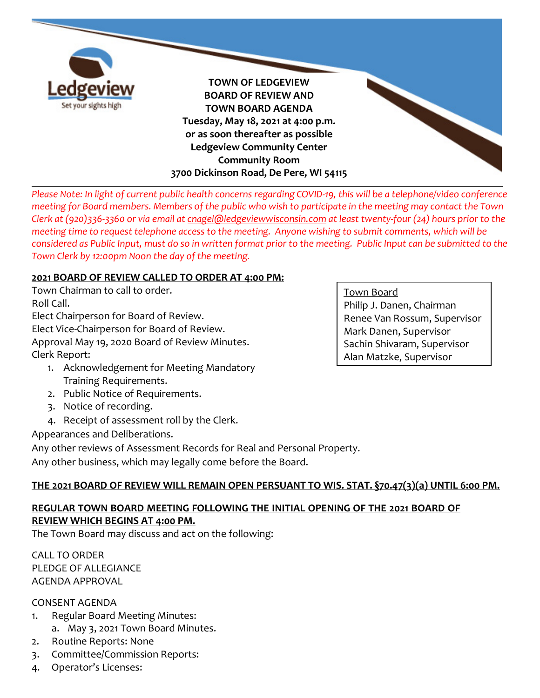

*Please Note: In light of current public health concerns regarding COVID-19, this will be a telephone/video conference meeting for Board members. Members of the public who wish to participate in the meeting may contact the Town Clerk at (920)336-3360 or via email a[t cnagel@ledgeviewwisconsin.com](mailto:cnagel@ledgeviewwisconsin.com) at least twenty-four (24) hours prior to the meeting time to request telephone access to the meeting. Anyone wishing to submit comments, which will be considered as Public Input, must do so in written format prior to the meeting. Public Input can be submitted to the Town Clerk by 12:00pm Noon the day of the meeting.*

#### **2021 BOARD OF REVIEW CALLED TO ORDER AT 4:00 PM:**

Town Chairman to call to order. Roll Call. Elect Chairperson for Board of Review. Elect Vice-Chairperson for Board of Review. Approval May 19, 2020 Board of Review Minutes. Clerk Report:

- 1. Acknowledgement for Meeting Mandatory Training Requirements.
- 2. Public Notice of Requirements.
- 3. Notice of recording.
- 4. Receipt of assessment roll by the Clerk.

Appearances and Deliberations.

Any other reviews of Assessment Records for Real and Personal Property.

Any other business, which may legally come before the Board.

### **THE 2021 BOARD OF REVIEW WILL REMAIN OPEN PERSUANT TO WIS. STAT. §70.47(3)(a) UNTIL 6:00 PM.**

# **REGULAR TOWN BOARD MEETING FOLLOWING THE INITIAL OPENING OF THE 2021 BOARD OF REVIEW WHICH BEGINS AT 4:00 PM.**

The Town Board may discuss and act on the following:

CALL TO ORDER PLEDGE OF ALLEGIANCE AGENDA APPROVAL

### CONSENT AGENDA

- 1. Regular Board Meeting Minutes:
	- a. May 3, 2021 Town Board Minutes.
- 2. Routine Reports: None
- 3. Committee/Commission Reports:
- 4. Operator's Licenses:

#### Town Board

Philip J. Danen, Chairman Renee Van Rossum, Supervisor Mark Danen, Supervisor Sachin Shivaram, Supervisor Alan Matzke, Supervisor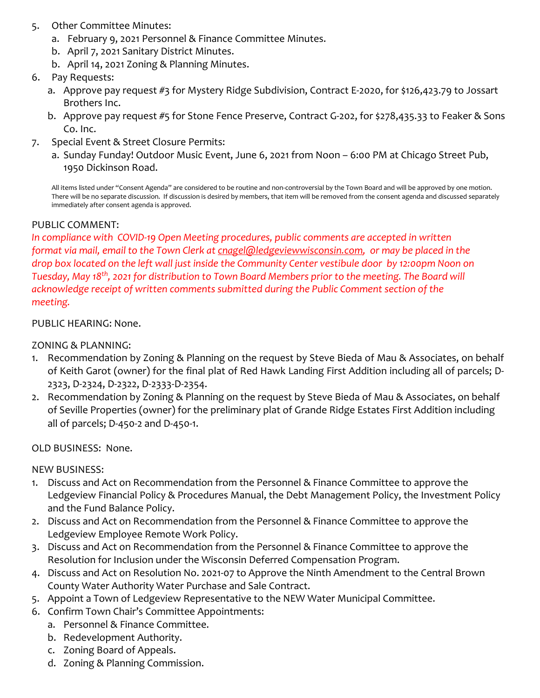- 5. Other Committee Minutes:
	- a. February 9, 2021 Personnel & Finance Committee Minutes.
	- b. April 7, 2021 Sanitary District Minutes.
	- b. April 14, 2021 Zoning & Planning Minutes.
- 6. Pay Requests:
	- a. Approve pay request #3 for Mystery Ridge Subdivision, Contract E-2020, for \$126,423.79 to Jossart Brothers Inc.
	- b. Approve pay request #5 for Stone Fence Preserve, Contract G-202, for \$278,435.33 to Feaker & Sons Co. Inc.
- 7. Special Event & Street Closure Permits:
	- a. Sunday Funday! Outdoor Music Event, June 6, 2021 from Noon 6:00 PM at Chicago Street Pub, 1950 Dickinson Road.

All items listed under "Consent Agenda" are considered to be routine and non-controversial by the Town Board and will be approved by one motion. There will be no separate discussion. If discussion is desired by members, that item will be removed from the consent agenda and discussed separately immediately after consent agenda is approved.

#### PUBLIC COMMENT:

*In compliance with COVID-19 Open Meeting procedures, public comments are accepted in written format via mail, email to the Town Clerk at [cnagel@ledgeviewwisconsin.com,](mailto:cnagel@ledgeviewwisconsin.com) or may be placed in the drop box located on the left wall just inside the Community Center vestibule door by 12:00pm Noon on Tuesday, May 18th, 2021 for distribution to Town Board Members prior to the meeting. The Board will acknowledge receipt of written comments submitted during the Public Comment section of the meeting.* 

#### PUBLIC HEARING: None.

ZONING & PLANNING:

- 1. Recommendation by Zoning & Planning on the request by Steve Bieda of Mau & Associates, on behalf of Keith Garot (owner) for the final plat of Red Hawk Landing First Addition including all of parcels; D-2323, D-2324, D-2322, D-2333-D-2354.
- 2. Recommendation by Zoning & Planning on the request by Steve Bieda of Mau & Associates, on behalf of Seville Properties (owner) for the preliminary plat of Grande Ridge Estates First Addition including all of parcels; D-450-2 and D-450-1.

OLD BUSINESS: None.

NEW BUSINESS:

- 1. Discuss and Act on Recommendation from the Personnel & Finance Committee to approve the Ledgeview Financial Policy & Procedures Manual, the Debt Management Policy, the Investment Policy and the Fund Balance Policy.
- 2. Discuss and Act on Recommendation from the Personnel & Finance Committee to approve the Ledgeview Employee Remote Work Policy.
- 3. Discuss and Act on Recommendation from the Personnel & Finance Committee to approve the Resolution for Inclusion under the Wisconsin Deferred Compensation Program.
- 4. Discuss and Act on Resolution No. 2021-07 to Approve the Ninth Amendment to the Central Brown County Water Authority Water Purchase and Sale Contract.
- 5. Appoint a Town of Ledgeview Representative to the NEW Water Municipal Committee.
- 6. Confirm Town Chair's Committee Appointments:
	- a. Personnel & Finance Committee.
	- b. Redevelopment Authority.
	- c. Zoning Board of Appeals.
	- d. Zoning & Planning Commission.